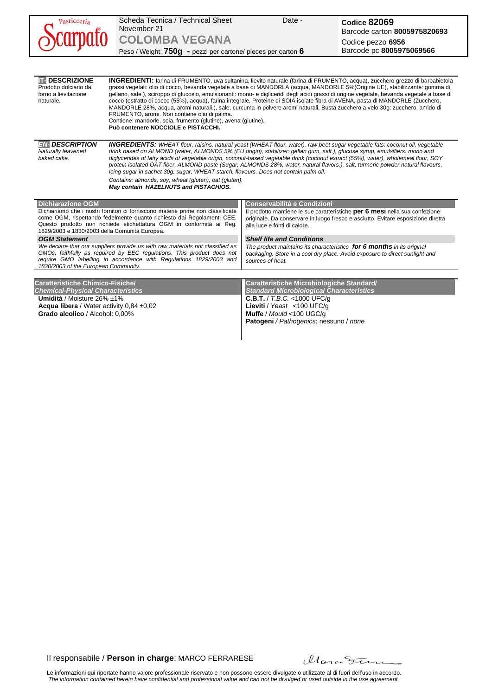| Pasticceria                                                                                                                                                                                                                                                                                                    | Scheda Tecnica / Technical Sheet<br>November 21<br><b>COLOMBA VEGANA</b><br>Peso / Weight: 750g - pezzi per cartone/ pieces per carton 6                                                                                                                                                                                                                                                                                                                                                                                                                                                                                                                                                                                                                                                                                                         | Date -                                                                                                                                                                                                                                | Codice 82069<br>Barcode carton 8005975820693<br>Codice pezzo 6956<br>Barcode pc 8005975069566 |  |  |  |  |
|----------------------------------------------------------------------------------------------------------------------------------------------------------------------------------------------------------------------------------------------------------------------------------------------------------------|--------------------------------------------------------------------------------------------------------------------------------------------------------------------------------------------------------------------------------------------------------------------------------------------------------------------------------------------------------------------------------------------------------------------------------------------------------------------------------------------------------------------------------------------------------------------------------------------------------------------------------------------------------------------------------------------------------------------------------------------------------------------------------------------------------------------------------------------------|---------------------------------------------------------------------------------------------------------------------------------------------------------------------------------------------------------------------------------------|-----------------------------------------------------------------------------------------------|--|--|--|--|
|                                                                                                                                                                                                                                                                                                                |                                                                                                                                                                                                                                                                                                                                                                                                                                                                                                                                                                                                                                                                                                                                                                                                                                                  |                                                                                                                                                                                                                                       |                                                                                               |  |  |  |  |
| <b>TE DESCRIZIONE</b><br>Prodotto dolciario da<br>forno a lievitazione<br>naturale.                                                                                                                                                                                                                            | <b>INGREDIENTI:</b> farina di FRUMENTO, uva sultanina, lievito naturale (farina di FRUMENTO, acqua), zucchero grezzo di barbabietola<br>grassi vegetali: olio di cocco, bevanda vegetale a base di MANDORLA (acqua, MANDORLE 5%(Origine UE), stabilizzante: gomma di<br>gellano, sale.), sciroppo di glucosio, emulsionanti: mono- e digliceridi degli acidi grassi di origine vegetale, bevanda vegetale a base di<br>cocco (estratto di cocco (55%), acqua), farina integrale, Proteine di SOIA isolate fibra di AVENA, pasta di MANDORLE (Zucchero,<br>MANDORLE 28%, acqua, aromi naturali.), sale, curcuma in polvere aromi naturali, Busta zucchero a velo 30g: zucchero, amido di<br>FRUMENTO, aromi. Non contiene olio di palma.<br>Contiene: mandorle, soia, frumento (glutine), avena (glutine),<br>Può contenere NOCCIOLE e PISTACCHI. |                                                                                                                                                                                                                                       |                                                                                               |  |  |  |  |
| <b>EN. DESCRIPTION</b><br>Naturally leavened<br>baked cake.                                                                                                                                                                                                                                                    | <b>INGREDIENTS:</b> WHEAT flour, raisins, natural yeast (WHEAT flour, water), raw beet sugar vegetable fats: coconut oil, vegetable<br>drink based on ALMOND (water, ALMONDS 5% (EU origin), stabilizer: gellan gum, salt.), glucose syrup, emulsifiers: mono and<br>diglycerides of fatty acids of vegetable origin, coconut-based vegetable drink (coconut extract (55%), water), wholemeal flour, SOY<br>protein isolated OAT fiber, ALMOND paste (Sugar, ALMONDS 28%, water, natural flavors.), salt, turmeric powder natural flavours,<br>lcing sugar in sachet 30g: sugar, WHEAT starch, flavours. Does not contain palm oil.<br>Contains: almonds, soy, wheat (gluten), oat (gluten),<br>May contain HAZELNUTS and PISTACHIOS.                                                                                                            |                                                                                                                                                                                                                                       |                                                                                               |  |  |  |  |
| <b>Dichiarazione OGM</b><br>Dichiariamo che i nostri fornitori ci forniscono materie prime non classificate<br>come OGM, rispettando fedelmente quanto richiesto dai Regolamenti CEE.<br>Questo prodotto non richiede etichettatura OGM in conformità ai Reg.<br>1829/2003 e 1830/2003 della Comunità Europea. |                                                                                                                                                                                                                                                                                                                                                                                                                                                                                                                                                                                                                                                                                                                                                                                                                                                  | <b>Conservabilità e Condizioni</b><br>Il prodotto mantiene le sue caratteristiche per 6 mesi nella sua confezione<br>originale. Da conservare in luogo fresco e asciutto. Evitare esposizione diretta<br>alla luce e fonti di calore. |                                                                                               |  |  |  |  |
| <b>OGM Statement</b><br>We declare that our suppliers provide us with raw materials not classified as<br>GMOs, faithfully as required by EEC regulations. This product does not<br>require GMO labelling in accordance with Regulations 1829/2003 and<br>1830/2003 of the European Community.                  |                                                                                                                                                                                                                                                                                                                                                                                                                                                                                                                                                                                                                                                                                                                                                                                                                                                  | <b>Shelf life and Conditions</b><br>The product maintains its characteristics for 6 months in its original<br>packaging. Store in a cool dry place. Avoid exposure to direct sunlight and<br>sources of heat.                         |                                                                                               |  |  |  |  |
| <b>Caratteristiche Chimico-Fisiche/</b><br><b>Chemical-Physical Characteristics</b>                                                                                                                                                                                                                            |                                                                                                                                                                                                                                                                                                                                                                                                                                                                                                                                                                                                                                                                                                                                                                                                                                                  | Caratteristiche Microbiologiche Standard/<br><b>Standard Microbiological Characteristics</b>                                                                                                                                          |                                                                                               |  |  |  |  |

**C.B.T.** / *T.B.C.* <1000 UFC/g **Lieviti** / *Yeast* <100 UFC/g **Muffe** / *Mould* <100 UGC/g

**Patogeni** */ Pathogenics*: nessuno / *none*

Il responsabile / **Person in charge**: MARCO FERRARESE

**Umidità** / Moisture 26% ±1%

**Acqua libera** / Water activity 0,84 ±0,02 **Grado alcolico** / Alcohol: 0,00%

Marcotten

Le informazioni qui riportate hanno valore professionale riservato e non possono essere divulgate o utilizzate al di fuori dell'uso in accordo. *The information contained herein have confidential and professional value and can not be divulged or used outside in the use agreement.*